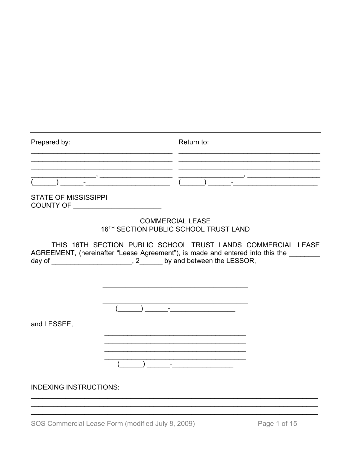| Prepared by:                  | Return to:                                                                                                                                                                                                                                                                                                                          |
|-------------------------------|-------------------------------------------------------------------------------------------------------------------------------------------------------------------------------------------------------------------------------------------------------------------------------------------------------------------------------------|
|                               |                                                                                                                                                                                                                                                                                                                                     |
| <b>STATE OF MISSISSIPPI</b>   |                                                                                                                                                                                                                                                                                                                                     |
|                               | <b>COMMERCIAL LEASE</b><br>16TH SECTION PUBLIC SCHOOL TRUST LAND                                                                                                                                                                                                                                                                    |
|                               | THIS 16TH SECTION PUBLIC SCHOOL TRUST LANDS COMMERCIAL LEASE<br>AGREEMENT, (hereinafter "Lease Agreement"), is made and entered into this the _______<br>day of __________________________, 2_______ by and between the LESSOR,                                                                                                     |
| and LESSEE,                   | the control of the control of the control of the                                                                                                                                                                                                                                                                                    |
| <b>INDEXING INSTRUCTIONS:</b> | $\overline{a}$ ) and $\overline{a}$ and $\overline{a}$ and $\overline{a}$ and $\overline{a}$ and $\overline{a}$ and $\overline{a}$ and $\overline{a}$ and $\overline{a}$ and $\overline{a}$ and $\overline{a}$ and $\overline{a}$ and $\overline{a}$ and $\overline{a}$ and $\overline{a}$ and $\overline{a}$ and $\overline{a}$ an |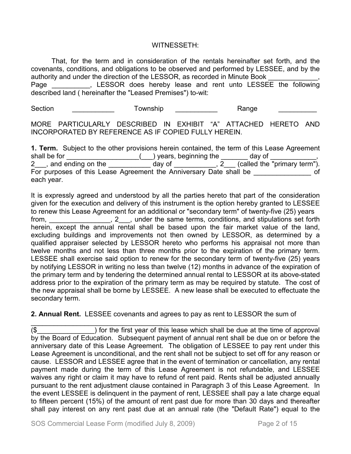#### WITNESSETH:

That, for the term and in consideration of the rentals hereinafter set forth, and the covenants, conditions, and obligations to be observed and performed by LESSEE, and by the authority and under the direction of the LESSOR, as recorded in Minute Book Page \_\_\_\_\_\_\_\_\_, LESSOR does hereby lease and rent unto LESSEE the following described land ( hereinafter the "Leased Premises") to-wit:

Section **Section** Township **Section** Range

MORE PARTICULARLY DESCRIBED IN EXHIBIT "A" ATTACHED HERETO AND INCORPORATED BY REFERENCE AS IF COPIED FULLY HEREIN.

**1. Term.** Subject to the other provisions herein contained, the term of this Lease Agreement shall be for \_\_\_\_\_\_\_\_\_\_\_\_\_\_\_\_\_\_\_(\_\_\_) years, beginning the \_\_\_\_\_\_\_ day of \_\_\_\_\_\_\_\_\_\_\_\_, 2\_\_\_, and ending on the \_\_\_\_\_\_\_\_\_\_\_ day of \_\_\_\_\_\_\_\_\_\_\_, 2\_\_\_ (called the "primary term"). For purposes of this Lease Agreement the Anniversary Date shall be \_\_\_\_\_\_\_\_\_\_\_\_\_\_ of each year.

It is expressly agreed and understood by all the parties hereto that part of the consideration given for the execution and delivery of this instrument is the option hereby granted to LESSEE to renew this Lease Agreement for an additional or "secondary term" of twenty-five (25) years from, \_\_\_\_\_\_\_\_\_\_\_\_\_\_, 2\_\_, under the same terms, conditions, and stipulations set forth herein, except the annual rental shall be based upon the fair market value of the land, excluding buildings and improvements not then owned by LESSOR, as determined by a qualified appraiser selected by LESSOR hereto who performs his appraisal not more than twelve months and not less than three months prior to the expiration of the primary term. LESSEE shall exercise said option to renew for the secondary term of twenty-five (25) years by notifying LESSOR in writing no less than twelve (12) months in advance of the expiration of the primary term and by tendering the determined annual rental to LESSOR at its above-stated address prior to the expiration of the primary term as may be required by statute. The cost of the new appraisal shall be borne by LESSEE. A new lease shall be executed to effectuate the secondary term.

**2. Annual Rent.** LESSEE covenants and agrees to pay as rent to LESSOR the sum of

\_\_\_\_\_\_\_\_\_\_\_\_\_\_\_\_\_\_\_\_\_\_\_\_\_\_\_\_\_\_\_\_\_\_\_\_\_\_\_\_\_\_\_\_\_\_\_\_\_\_\_\_\_\_\_\_\_\_\_\_\_\_\_\_\_\_\_\_\_\_\_\_\_\_\_  $(\$$   $\qquad$  ) for the first year of this lease which shall be due at the time of approval by the Board of Education. Subsequent payment of annual rent shall be due on or before the anniversary date of this Lease Agreement. The obligation of LESSEE to pay rent under this Lease Agreement is unconditional, and the rent shall not be subject to set off for any reason or cause. LESSOR and LESSEE agree that in the event of termination or cancellation, any rental payment made during the term of this Lease Agreement is not refundable, and LESSEE waives any right or claim it may have to refund of rent paid. Rents shall be adjusted annually pursuant to the rent adjustment clause contained in Paragraph 3 of this Lease Agreement. In the event LESSEE is delinquent in the payment of rent, LESSEE shall pay a late charge equal to fifteen percent (15%) of the amount of rent past due for more than 30 days and thereafter shall pay interest on any rent past due at an annual rate (the "Default Rate") equal to the

SOS Commercial Lease Form (modified July 8, 2009) Page 2 of 15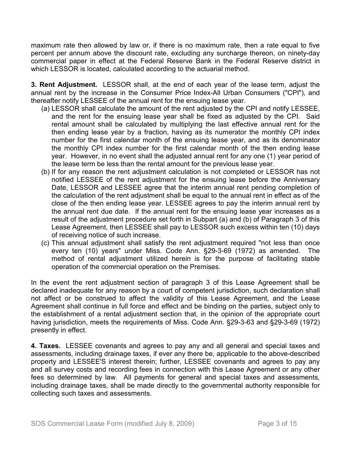maximum rate then allowed by law or, if there is no maximum rate, then a rate equal to five percent per annum above the discount rate, excluding any surcharge thereon, on ninety-day commercial paper in effect at the Federal Reserve Bank in the Federal Reserve district in which LESSOR is located, calculated according to the actuarial method.

**3. Rent Adjustment.** LESSOR shall, at the end of each year of the lease term, adjust the annual rent by the increase in the Consumer Price Index-All Urban Consumers ("CPI"), and thereafter notify LESSEE of the annual rent for the ensuing lease year.

- (a) LESSOR shall calculate the amount of the rent adjusted by the CPI and notify LESSEE, and the rent for the ensuing lease year shall be fixed as adjusted by the CPI. Said rental amount shall be calculated by multiplying the last effective annual rent for the then ending lease year by a fraction, having as its numerator the monthly CPI index number for the first calendar month of the ensuing lease year, and as its denominator the monthly CPI index number for the first calendar month of the then ending lease year. However, in no event shall the adjusted annual rent for any one (1) year period of the lease term be less than the rental amount for the previous lease year.
- (b) If for any reason the rent adjustment calculation is not completed or LESSOR has not notified LESSEE of the rent adjustment for the ensuing lease before the Anniversary Date, LESSOR and LESSEE agree that the interim annual rent pending completion of the calculation of the rent adjustment shall be equal to the annual rent in effect as of the close of the then ending lease year. LESSEE agrees to pay the interim annual rent by the annual rent due date. If the annual rent for the ensuing lease year increases as a result of the adjustment procedure set forth in Subpart (a) and (b) of Paragraph 3 of this Lease Agreement, then LESSEE shall pay to LESSOR such excess within ten (10) days of receiving notice of such increase.
- (c) This annual adjustment shall satisfy the rent adjustment required "not less than once every ten (10) years" under Miss. Code Ann. §29-3-69 (1972) as amended. The method of rental adjustment utilized herein is for the purpose of facilitating stable operation of the commercial operation on the Premises.

In the event the rent adjustment section of paragraph 3 of this Lease Agreement shall be declared inadequate for any reason by a court of competent jurisdiction, such declaration shall not affect or be construed to affect the validity of this Lease Agreement, and the Lease Agreement shall continue in full force and effect and be binding on the parties, subject only to the establishment of a rental adjustment section that, in the opinion of the appropriate court having jurisdiction, meets the requirements of Miss. Code Ann. §29-3-63 and §29-3-69 (1972) presently in effect.

**4. Taxes.** LESSEE covenants and agrees to pay any and all general and special taxes and assessments, including drainage taxes, if ever any there be, applicable to the above-described property and LESSEE'S interest therein; further, LESSEE covenants and agrees to pay any and all survey costs and recording fees in connection with this Lease Agreement or any other fees so determined by law. All payments for general and special taxes and assessments, including drainage taxes, shall be made directly to the governmental authority responsible for collecting such taxes and assessments.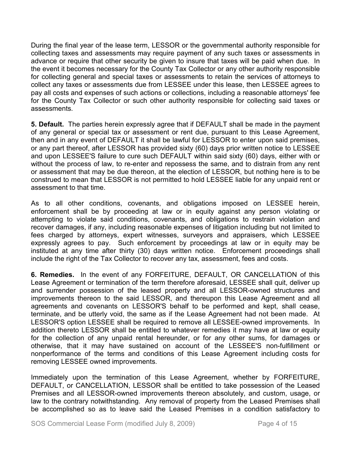During the final year of the lease term, LESSOR or the governmental authority responsible for collecting taxes and assessments may require payment of any such taxes or assessments in advance or require that other security be given to insure that taxes will be paid when due. In the event it becomes necessary for the County Tax Collector or any other authority responsible for collecting general and special taxes or assessments to retain the services of attorneys to collect any taxes or assessments due from LESSEE under this lease, then LESSEE agrees to pay all costs and expenses of such actions or collections, including a reasonable attorneys' fee for the County Tax Collector or such other authority responsible for collecting said taxes or assessments.

**5. Default.** The parties herein expressly agree that if DEFAULT shall be made in the payment of any general or special tax or assessment or rent due, pursuant to this Lease Agreement, then and in any event of DEFAULT it shall be lawful for LESSOR to enter upon said premises, or any part thereof, after LESSOR has provided sixty (60) days prior written notice to LESSEE and upon LESSEE'S failure to cure such DEFAULT within said sixty (60) days, either with or without the process of law, to re-enter and repossess the same, and to distrain from any rent or assessment that may be due thereon, at the election of LESSOR, but nothing here is to be construed to mean that LESSOR is not permitted to hold LESSEE liable for any unpaid rent or assessment to that time.

As to all other conditions, covenants, and obligations imposed on LESSEE herein, enforcement shall be by proceeding at law or in equity against any person violating or attempting to violate said conditions, covenants, and obligations to restrain violation and recover damages, if any, including reasonable expenses of litigation including but not limited to fees charged by attorneys, expert witnesses, surveyors and appraisers, which LESSEE expressly agrees to pay. Such enforcement by proceedings at law or in equity may be instituted at any time after thirty (30) days written notice. Enforcement proceedings shall include the right of the Tax Collector to recover any tax, assessment, fees and costs.

**6. Remedies.** In the event of any FORFEITURE, DEFAULT, OR CANCELLATION of this Lease Agreement or termination of the term therefore aforesaid, LESSEE shall quit, deliver up and surrender possession of the leased property and all LESSOR-owned structures and improvements thereon to the said LESSOR, and thereupon this Lease Agreement and all agreements and covenants on LESSOR'S behalf to be performed and kept, shall cease, terminate, and be utterly void, the same as if the Lease Agreement had not been made. At LESSOR'S option LESSEE shall be required to remove all LESSEE-owned improvements. In addition thereto LESSOR shall be entitled to whatever remedies it may have at law or equity for the collection of any unpaid rental hereunder, or for any other sums, for damages or otherwise, that it may have sustained on account of the LESSEE'S non-fulfillment or nonperformance of the terms and conditions of this Lease Agreement including costs for removing LESSEE owned improvements.

Immediately upon the termination of this Lease Agreement, whether by FORFEITURE, DEFAULT, or CANCELLATION, LESSOR shall be entitled to take possession of the Leased Premises and all LESSOR-owned improvements thereon absolutely, and custom, usage, or law to the contrary notwithstanding. Any removal of property from the Leased Premises shall be accomplished so as to leave said the Leased Premises in a condition satisfactory to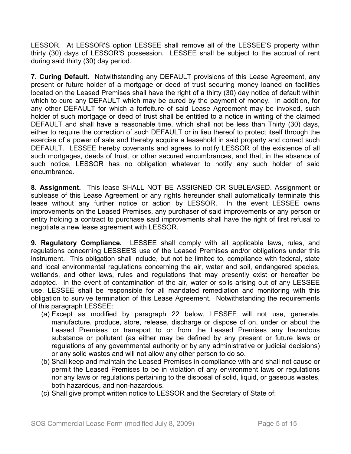LESSOR. At LESSOR'S option LESSEE shall remove all of the LESSEE'S property within thirty (30) days of LESSOR'S possession. LESSEE shall be subject to the accrual of rent during said thirty (30) day period.

**7. Curing Default.** Notwithstanding any DEFAULT provisions of this Lease Agreement, any present or future holder of a mortgage or deed of trust securing money loaned on facilities located on the Leased Premises shall have the right of a thirty (30) day notice of default within which to cure any DEFAULT which may be cured by the payment of money. In addition, for any other DEFAULT for which a forfeiture of said Lease Agreement may be invoked, such holder of such mortgage or deed of trust shall be entitled to a notice in writing of the claimed DEFAULT and shall have a reasonable time, which shall not be less than Thirty (30) days, either to require the correction of such DEFAULT or in lieu thereof to protect itself through the exercise of a power of sale and thereby acquire a leasehold in said property and correct such DEFAULT. LESSEE hereby covenants and agrees to notify LESSOR of the existence of all such mortgages, deeds of trust, or other secured encumbrances, and that, in the absence of such notice, LESSOR has no obligation whatever to notify any such holder of said encumbrance.

**8. Assignment.** This lease SHALL NOT BE ASSIGNED OR SUBLEASED. Assignment or sublease of this Lease Agreement or any rights hereunder shall automatically terminate this lease without any further notice or action by LESSOR. In the event LESSEE owns improvements on the Leased Premises, any purchaser of said improvements or any person or entity holding a contract to purchase said improvements shall have the right of first refusal to negotiate a new lease agreement with LESSOR.

**9. Regulatory Compliance.** LESSEE shall comply with all applicable laws, rules, and regulations concerning LESSEE'S use of the Leased Premises and/or obligations under this instrument. This obligation shall include, but not be limited to, compliance with federal, state and local environmental regulations concerning the air, water and soil, endangered species, wetlands, and other laws, rules and regulations that may presently exist or hereafter be adopted. In the event of contamination of the air, water or soils arising out of any LESSEE use, LESSEE shall be responsible for all mandated remediation and monitoring with this obligation to survive termination of this Lease Agreement. Notwithstanding the requirements of this paragraph LESSEE:

- (a) Except as modified by paragraph 22 below, LESSEE will not use, generate, manufacture, produce, store, release, discharge or dispose of on, under or about the Leased Premises or transport to or from the Leased Premises any hazardous substance or pollutant (as either may be defined by any present or future laws or regulations of any governmental authority or by any administrative or judicial decisions) or any solid wastes and will not allow any other person to do so.
- (b) Shall keep and maintain the Leased Premises in compliance with and shall not cause or permit the Leased Premises to be in violation of any environment laws or regulations nor any laws or regulations pertaining to the disposal of solid, liquid, or gaseous wastes, both hazardous, and non-hazardous.
- (c) Shall give prompt written notice to LESSOR and the Secretary of State of: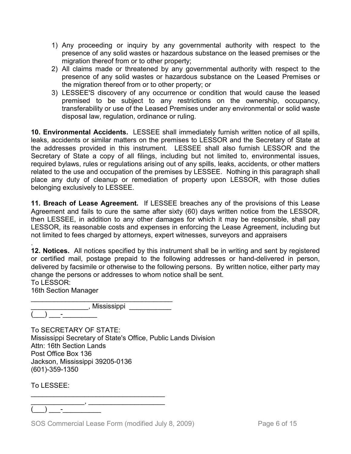- 1) Any proceeding or inquiry by any governmental authority with respect to the presence of any solid wastes or hazardous substance on the leased premises or the migration thereof from or to other property;
- 2) All claims made or threatened by any governmental authority with respect to the presence of any solid wastes or hazardous substance on the Leased Premises or the migration thereof from or to other property; or
- 3) LESSEE'S discovery of any occurrence or condition that would cause the leased premised to be subject to any restrictions on the ownership, occupancy, transferability or use of the Leased Premises under any environmental or solid waste disposal law, regulation, ordinance or ruling.

**10. Environmental Accidents.** LESSEE shall immediately furnish written notice of all spills, leaks, accidents or similar matters on the premises to LESSOR and the Secretary of State at the addresses provided in this instrument. LESSEE shall also furnish LESSOR and the Secretary of State a copy of all filings, including but not limited to, environmental issues, required bylaws, rules or regulations arising out of any spills, leaks, accidents, or other matters related to the use and occupation of the premises by LESSEE. Nothing in this paragraph shall place any duty of cleanup or remediation of property upon LESSOR, with those duties belonging exclusively to LESSEE.

**11. Breach of Lease Agreement.** If LESSEE breaches any of the provisions of this Lease Agreement and fails to cure the same after sixty (60) days written notice from the LESSOR, then LESSEE, in addition to any other damages for which it may be responsible, shall pay LESSOR, its reasonable costs and expenses in enforcing the Lease Agreement, including but not limited to fees charged by attorneys, expert witnesses, surveyors and appraisers

. **12. Notices.** All notices specified by this instrument shall be in writing and sent by registered or certified mail, postage prepaid to the following addresses or hand-delivered in person, delivered by facsimile or otherwise to the following persons. By written notice, either party may change the persons or addresses to whom notice shall be sent. To LESSOR:

16th Section Manager

\_\_\_\_\_\_\_\_\_\_\_\_\_\_\_\_\_\_\_\_\_\_\_\_\_\_\_\_\_\_\_\_\_\_\_\_\_ \_\_\_\_\_\_\_\_\_\_\_\_\_\_\_\_\_\_, Mississippi \_\_\_\_\_\_\_\_\_\_\_\_\_  $(\_\_) \_\_$  .

To SECRETARY OF STATE: Mississippi Secretary of State's Office, Public Lands Division Attn: 16th Section Lands Post Office Box 136 Jackson, Mississippi 39205-0136 (601)-359-1350

To LESSEE:

\_\_\_\_\_\_\_\_\_\_\_\_\_\_, \_\_\_\_\_\_\_\_\_\_\_\_\_\_\_\_\_\_\_\_  $)$   $-$ 

SOS Commercial Lease Form (modified July 8, 2009) Page 6 of 15

\_\_\_\_\_\_\_\_\_\_\_\_\_\_\_\_\_\_\_\_\_\_\_\_\_\_\_\_\_\_\_\_\_\_\_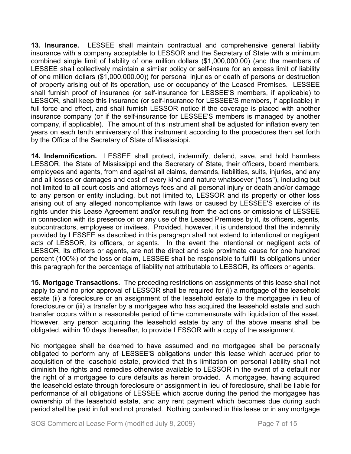**13. Insurance.** LESSEE shall maintain contractual and comprehensive general liability insurance with a company acceptable to LESSOR and the Secretary of State with a minimum combined single limit of liability of one million dollars (\$1,000,000.00) (and the members of LESSEE shall collectively maintain a similar policy or self-insure for an excess limit of liability of one million dollars (\$1,000,000.00)) for personal injuries or death of persons or destruction of property arising out of its operation, use or occupancy of the Leased Premises. LESSEE shall furnish proof of insurance (or self-insurance for LESSEE'S members, if applicable) to LESSOR, shall keep this insurance (or self-insurance for LESSEE'S members, if applicable) in full force and effect, and shall furnish LESSOR notice if the coverage is placed with another insurance company (or if the self-insurance for LESSEE'S members is managed by another company, if applicable). The amount of this instrument shall be adjusted for inflation every ten years on each tenth anniversary of this instrument according to the procedures then set forth by the Office of the Secretary of State of Mississippi.

**14. Indemnification.** LESSEE shall protect, indemnify, defend, save, and hold harmless LESSOR, the State of Mississippi and the Secretary of State, their officers, board members, employees and agents, from and against all claims, demands, liabilities, suits, injuries, and any and all losses or damages and cost of every kind and nature whatsoever ("loss"), including but not limited to all court costs and attorneys fees and all personal injury or death and/or damage to any person or entity including, but not limited to, LESSOR and its property or other loss arising out of any alleged noncompliance with laws or caused by LESSEE'S exercise of its rights under this Lease Agreement and/or resulting from the actions or omissions of LESSEE in connection with its presence on or any use of the Leased Premises by it, its officers, agents, subcontractors, employees or invitees. Provided, however, it is understood that the indemnity provided by LESSEE as described in this paragraph shall not extend to intentional or negligent acts of LESSOR, its officers, or agents. In the event the intentional or negligent acts of LESSOR, its officers or agents, are not the direct and sole proximate cause for one hundred percent (100%) of the loss or claim, LESSEE shall be responsible to fulfill its obligations under this paragraph for the percentage of liability not attributable to LESSOR, its officers or agents.

**15. Mortgage Transactions.** The preceding restrictions on assignments of this lease shall not apply to and no prior approval of LESSOR shall be required for (i) a mortgage of the leasehold estate (ii) a foreclosure or an assignment of the leasehold estate to the mortgagee in lieu of foreclosure or (iii) a transfer by a mortgagee who has acquired the leasehold estate and such transfer occurs within a reasonable period of time commensurate with liquidation of the asset. However, any person acquiring the leasehold estate by any of the above means shall be obligated, within 10 days thereafter, to provide LESSOR with a copy of the assignment.

No mortgagee shall be deemed to have assumed and no mortgagee shall be personally obligated to perform any of LESSEE'S obligations under this lease which accrued prior to acquisition of the leasehold estate, provided that this limitation on personal liability shall not diminish the rights and remedies otherwise available to LESSOR in the event of a default nor the right of a mortgagee to cure defaults as herein provided. A mortgagee, having acquired the leasehold estate through foreclosure or assignment in lieu of foreclosure, shall be liable for performance of all obligations of LESSEE which accrue during the period the mortgagee has ownership of the leasehold estate, and any rent payment which becomes due during such period shall be paid in full and not prorated. Nothing contained in this lease or in any mortgage

SOS Commercial Lease Form (modified July 8, 2009) Page 7 of 15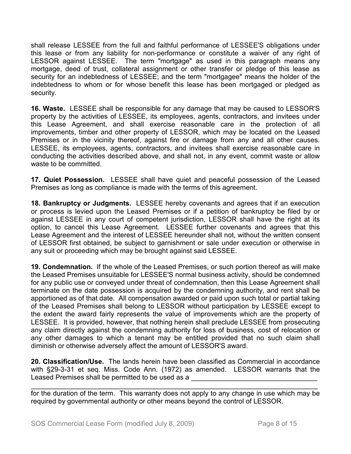shall release LESSEE from the full and faithful performance of LESSEE'S obligations under this lease or from any liability for non-performance or constitute a waiver of any right of LESSOR against LESSEE. The term "mortgage" as used in this paragraph means any mortgage, deed of trust, collateral assignment or other transfer or pledge of this lease as security for an indebtedness of LESSEE; and the term "mortgagee" means the holder of the indebtedness to whom or for whose benefit this lease has been mortgaged or pledged as security.

**16. Waste.** LESSEE shall be responsible for any damage that may be caused to LESSOR'S property by the activities of LESSEE, its employees, agents, contractors, and invitees under this Lease Agreement, and shall exercise reasonable care in the protection of all improvements, timber and other property of LESSOR, which may be located on the Leased Premises or in the vicinity thereof, against fire or damage from any and all other causes. LESSEE, its employees, agents, contractors, and invitees shall exercise reasonable care in conducting the activities described above, and shall not, in any event, commit waste or allow waste to be committed.

**17. Quiet Possession.** LESSEE shall have quiet and peaceful possession of the Leased Premises as long as compliance is made with the terms of this agreement.

**18. Bankruptcy or Judgments.** LESSEE hereby covenants and agrees that if an execution or process is levied upon the Leased Premises or if a petition of bankruptcy be filed by or against LESSEE in any court of competent jurisdiction, LESSOR shall have the right at its option, to cancel this Lease Agreement. LESSEE further covenants and agrees that this Lease Agreement and the interest of LESSEE hereunder shall not, without the written consent of LESSOR first obtained, be subject to garnishment or sale under execution or otherwise in any suit or proceeding which may be brought against said LESSEE.

**19. Condemnation.** If the whole of the Leased Premises, or such portion thereof as will make the Leased Premises unsuitable for LESSEE'S normal business activity, should be condemned for any public use or conveyed under threat of condemnation, then this Lease Agreement shall terminate on the date possession is acquired by the condemning authority, and rent shall be apportioned as of that date. All compensation awarded or paid upon such total or partial taking of the Leased Premises shall belong to LESSOR without participation by LESSEE except to the extent the award fairly represents the value of improvements which are the property of LESSEE. It is provided, however, that nothing herein shall preclude LESSEE from prosecuting any claim directly against the condemning authority for loss of business, cost of relocation or any other damages to which a tenant may be entitled provided that no such claim shall diminish or otherwise adversely affect the amount of LESSOR'S award.

**20. Classification/Use.** The lands herein have been classified as Commercial in accordance with §29-3-31 et seq. Miss. Code Ann. (1972) as amended. LESSOR warrants that the Leased Premises shall be permitted to be used as a

\_\_\_\_\_\_\_\_\_\_\_\_\_\_\_\_\_\_\_\_\_\_\_\_\_\_\_\_\_\_\_\_\_\_\_\_\_\_\_\_\_\_\_\_\_\_\_\_\_\_\_\_\_\_\_\_\_\_\_\_\_\_\_\_\_\_\_\_\_\_\_\_\_\_\_ for the duration of the term. This warranty does not apply to any change in use which may be required by governmental authority or other means beyond the control of LESSOR.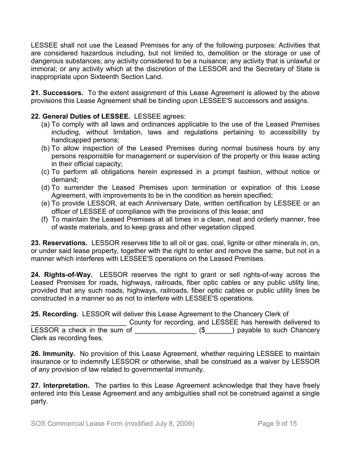LESSEE shall not use the Leased Premises for any of the following purposes: Activities that are considered hazardous including, but not limited to, demolition or the storage or use of dangerous substances; any activity considered to be a nuisance; any activity that is unlawful or immoral; or any activity which at the discretion of the LESSOR and the Secretary of State is inappropriate upon Sixteenth Section Land.

**21. Successors.** To the extent assignment of this Lease Agreement is allowed by the above provisions this Lease Agreement shall be binding upon LESSEE'S successors and assigns.

## **22. General Duties of LESSEE.** LESSEE agrees:

- (a) To comply with all laws and ordinances applicable to the use of the Leased Premises including, without limitation, laws and regulations pertaining to accessibility by handicapped persons;
- (b) To allow inspection of the Leased Premises during normal business hours by any persons responsible for management or supervision of the property or this lease acting in their official capacity;
- (c) To perform all obligations herein expressed in a prompt fashion, without notice or demand;
- (d) To surrender the Leased Premises upon termination or expiration of this Lease Agreement, with improvements to be in the condition as herein specified;
- (e) To provide LESSOR, at each Anniversary Date, written certification by LESSEE or an officer of LESSEE of compliance with the provisions of this lease; and
- (f) To maintain the Leased Premises at all times in a clean, neat and orderly manner, free of waste materials, and to keep grass and other vegetation clipped.

**23. Reservations.** LESSOR reserves title to all oil or gas, coal, lignite or other minerals in, on, or under said lease property, together with the right to enter and remove the same, but not in a manner which interferes with LESSEE'S operations on the Leased Premises.

**24. Rights-of-Way.** LESSOR reserves the right to grant or sell rights-of-way across the Leased Premises for roads, highways, railroads, fiber optic cables or any public utility line, provided that any such roads, highways, railroads, fiber optic cables or public utility lines be constructed in a manner so as not to interfere with LESSEE'S operations.

**25. Recording.** LESSOR will deliver this Lease Agreement to the Chancery Clerk of

County for recording, and LESSEE has herewith delivered to LESSOR a check in the sum of \_\_\_\_\_\_\_\_\_\_\_\_\_\_\_\_\_ (\$\_\_\_\_\_\_) payable to such Chancery Clerk as recording fees.

**26. Immunity.** No provision of this Lease Agreement, whether requiring LESSEE to maintain insurance or to indemnify LESSOR or otherwise, shall be construed as a waiver by LESSOR of any provision of law related to governmental immunity.

**27. Interpretation.** The parties to this Lease Agreement acknowledge that they have freely entered into this Lease Agreement and any ambiguities shall not be construed against a single party.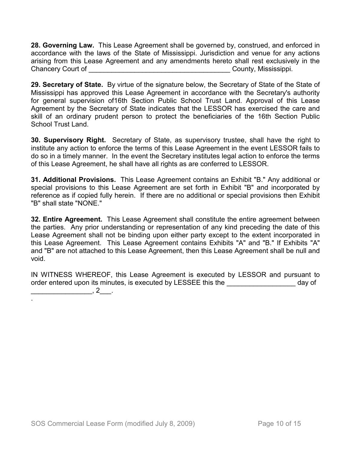**28. Governing Law.** This Lease Agreement shall be governed by, construed, and enforced in accordance with the laws of the State of Mississippi. Jurisdiction and venue for any actions arising from this Lease Agreement and any amendments hereto shall rest exclusively in the Chancery Court of \_\_\_\_\_\_\_\_\_\_\_\_\_\_\_\_\_\_\_\_\_\_\_\_\_\_\_\_\_\_\_\_\_\_\_\_\_ County, Mississippi.

**29. Secretary of State.** By virtue of the signature below, the Secretary of State of the State of Mississippi has approved this Lease Agreement in accordance with the Secretary's authority for general supervision of16th Section Public School Trust Land. Approval of this Lease Agreement by the Secretary of State indicates that the LESSOR has exercised the care and skill of an ordinary prudent person to protect the beneficiaries of the 16th Section Public School Trust Land.

**30. Supervisory Right.** Secretary of State, as supervisory trustee, shall have the right to institute any action to enforce the terms of this Lease Agreement in the event LESSOR fails to do so in a timely manner. In the event the Secretary institutes legal action to enforce the terms of this Lease Agreement, he shall have all rights as are conferred to LESSOR.

**31. Additional Provisions.** This Lease Agreement contains an Exhibit "B." Any additional or special provisions to this Lease Agreement are set forth in Exhibit "B" and incorporated by reference as if copied fully herein. If there are no additional or special provisions then Exhibit "B" shall state "NONE."

**32. Entire Agreement.** This Lease Agreement shall constitute the entire agreement between the parties. Any prior understanding or representation of any kind preceding the date of this Lease Agreement shall not be binding upon either party except to the extent incorporated in this Lease Agreement. This Lease Agreement contains Exhibits "A" and "B." If Exhibits "A" and "B" are not attached to this Lease Agreement, then this Lease Agreement shall be null and void.

IN WITNESS WHEREOF, this Lease Agreement is executed by LESSOR and pursuant to order entered upon its minutes, is executed by LESSEE this the **with the setting of** day of  $\overline{\phantom{a}}$ , 2 $\overline{\phantom{a}}$ .

.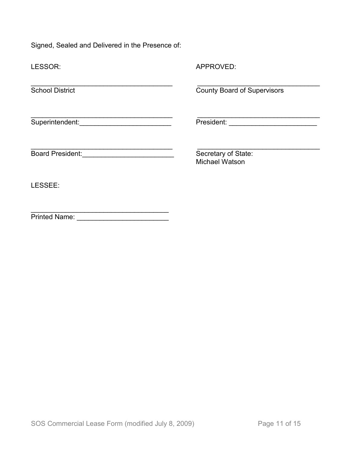Signed, Sealed and Delivered in the Presence of:

| LESSOR:                                    | APPROVED:                                    |
|--------------------------------------------|----------------------------------------------|
| <b>School District</b>                     | <b>County Board of Supervisors</b>           |
| Superintendent: Management Superintendent: |                                              |
|                                            | Secretary of State:<br><b>Michael Watson</b> |
| LESSEE:                                    |                                              |
| <b>Printed Name:</b>                       |                                              |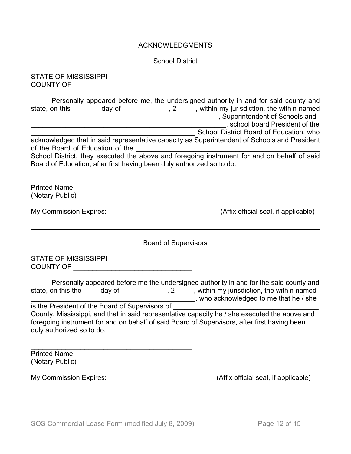#### ACKNOWLEDGMENTS

School District

STATE OF MISSISSIPPI COUNTY OF \_\_\_\_\_\_\_\_\_\_\_\_\_\_\_\_\_\_\_\_\_\_\_\_\_\_\_\_\_\_\_

| Personally appeared before me, the undersigned authority in and for said county and<br>state, on this ________ day of _____________, 2_____, within my jurisdiction, the within named<br>acknowledged that in said representative capacity as Superintendent of Schools and President<br>of the Board of Education of the<br>School District, they executed the above and foregoing instrument for and on behalf of said<br>Board of Education, after first having been duly authorized so to do. | School District Board of Education, who |
|---------------------------------------------------------------------------------------------------------------------------------------------------------------------------------------------------------------------------------------------------------------------------------------------------------------------------------------------------------------------------------------------------------------------------------------------------------------------------------------------------|-----------------------------------------|
| Printed Name: <u>Communications</u><br>(Notary Public)                                                                                                                                                                                                                                                                                                                                                                                                                                            |                                         |
| My Commission Expires: My Commission Expires:                                                                                                                                                                                                                                                                                                                                                                                                                                                     | (Affix official seal, if applicable)    |
| <b>Board of Supervisors</b>                                                                                                                                                                                                                                                                                                                                                                                                                                                                       |                                         |
| <b>STATE OF MISSISSIPPI</b><br>COUNTY OF <b>COUNTY OF</b>                                                                                                                                                                                                                                                                                                                                                                                                                                         |                                         |
| Personally appeared before me the undersigned authority in and for the said county and<br>state, on this the _____ day of ______________, 2_____, within my jurisdiction, the within named<br>is the President of the Board of Supervisors of                                                                                                                                                                                                                                                     | who acknowledged to me that he / she    |

County, Mississippi, and that in said representative capacity he / she executed the above and foregoing instrument for and on behalf of said Board of Supervisors, after first having been duly authorized so to do.

\_\_\_\_\_\_\_\_\_\_\_\_\_\_\_\_\_\_\_\_\_\_\_\_\_\_\_\_\_\_\_\_\_\_\_\_\_\_\_\_\_\_ Printed Name: (Notary Public)

My Commission Expires: \_\_\_\_\_\_\_\_\_\_\_\_\_\_\_\_\_\_\_\_\_\_\_\_\_\_\_\_\_\_\_\_(Affix official seal, if applicable)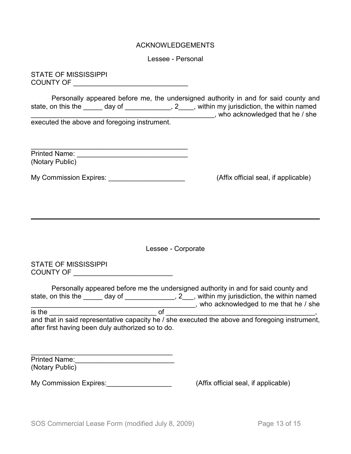### ACKNOWLEDGEMENTS

Lessee - Personal

STATE OF MISSISSIPPI COUNTY OF \_\_\_\_\_\_\_\_\_\_\_\_\_\_\_\_\_\_\_\_\_\_\_\_\_\_\_\_\_\_

Personally appeared before me, the undersigned authority in and for said county and state, on this the \_\_\_\_\_ day of \_\_\_\_\_\_\_\_\_\_\_\_\_, 2\_\_\_\_, within my jurisdiction, the within named state, on this the \_\_\_\_\_\_ day of \_\_\_\_\_\_\_\_\_\_\_\_\_, 2\_\_\_\_, within my jurisdiction, the within named \_\_\_\_\_\_\_\_\_\_\_\_\_\_\_\_\_\_\_\_\_\_\_\_\_\_\_\_\_\_\_\_\_\_\_\_\_\_\_\_\_\_\_\_\_\_\_\_, who acknowledged that he / she executed the above and foregoing instrument.

| <b>Printed Name:</b> |  |
|----------------------|--|
| (Notary Public)      |  |

My Commission Expires: <u>\_\_\_\_\_\_\_\_\_\_\_\_\_\_\_\_\_\_\_\_\_\_\_\_\_\_\_\_\_\_</u> (Affix official seal, if applicable)

Lessee - Corporate

STATE OF MISSISSIPPI COUNTY OF \_\_\_\_\_\_\_\_\_\_\_\_\_\_\_\_\_\_\_\_\_\_\_\_\_\_

|                                                   |        |    | Personally appeared before me the undersigned authority in and for said county and             |
|---------------------------------------------------|--------|----|------------------------------------------------------------------------------------------------|
| state, on this the                                | day of |    | , 2, within my jurisdiction, the within named                                                  |
|                                                   |        |    | who acknowledged to me that he / she                                                           |
| is the                                            |        | റ് |                                                                                                |
|                                                   |        |    | and that in said representative capacity he / she executed the above and foregoing instrument, |
| after first having been duly authorized so to do. |        |    |                                                                                                |

| <b>Printed Name:</b> |  |
|----------------------|--|
| (Notary Public)      |  |

My Commission Expires:  $\blacksquare$ 

\_\_\_\_\_\_\_\_\_\_\_\_\_\_\_\_\_\_\_\_\_\_\_\_\_\_\_\_\_\_\_\_\_\_\_\_\_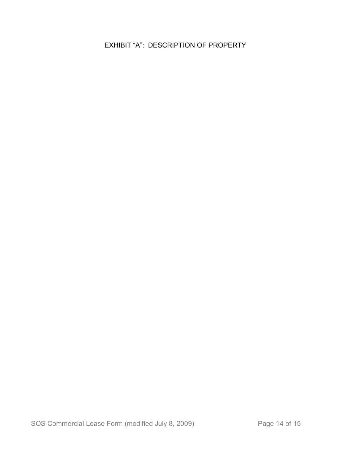EXHIBIT "A": DESCRIPTION OF PROPERTY